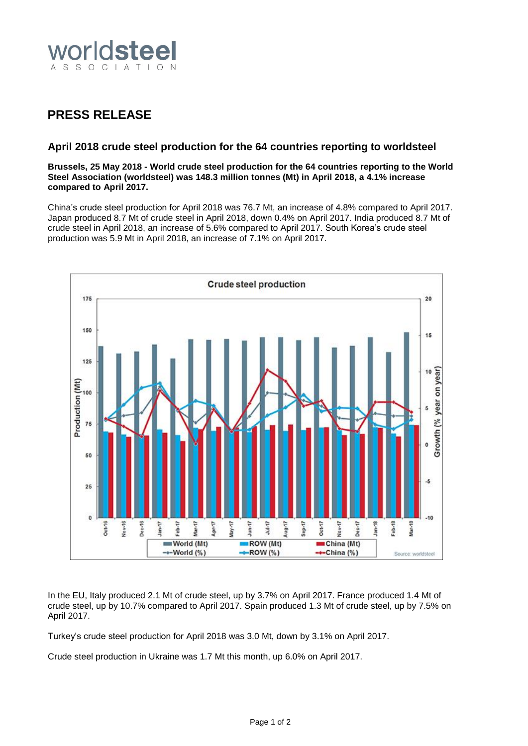

## **PRESS RELEASE**

## **April 2018 crude steel production for the 64 countries reporting to worldsteel**

**Brussels, 25 May 2018 - World crude steel production for the 64 countries reporting to the World Steel Association (worldsteel) was 148.3 million tonnes (Mt) in April 2018, a 4.1% increase compared to April 2017.**

China's crude steel production for April 2018 was 76.7 Mt, an increase of 4.8% compared to April 2017. Japan produced 8.7 Mt of crude steel in April 2018, down 0.4% on April 2017. India produced 8.7 Mt of crude steel in April 2018, an increase of 5.6% compared to April 2017. South Korea's crude steel production was 5.9 Mt in April 2018, an increase of 7.1% on April 2017.



In the EU, Italy produced 2.1 Mt of crude steel, up by 3.7% on April 2017. France produced 1.4 Mt of crude steel, up by 10.7% compared to April 2017. Spain produced 1.3 Mt of crude steel, up by 7.5% on April 2017.

Turkey's crude steel production for April 2018 was 3.0 Mt, down by 3.1% on April 2017.

Crude steel production in Ukraine was 1.7 Mt this month, up 6.0% on April 2017.